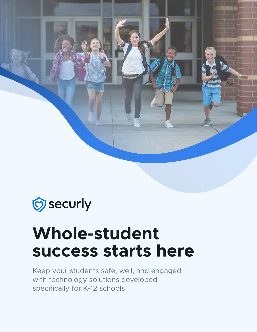

## Securly security

# **Whole-student success starts here**

Keep your students safe, well, and engaged with technology solutions developed specifically for K-12 schools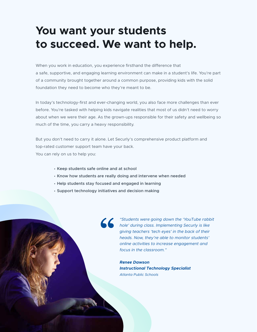### **You want your students to succeed. We want to help.**

When you work in education, you experience firsthand the difference that a safe, supportive, and engaging learning environment can make in a student's life. You're part of a community brought together around a common purpose, providing kids with the solid foundation they need to become who they're meant to be.

In today's technology-first and ever-changing world, you also face more challenges than ever before. You're tasked with helping kids navigate realities that most of us didn't need to worry about when we were their age. As the grown-ups responsible for their safety and wellbeing so much of the time, you carry a heavy responsibility.

But you don't need to carry it alone. Let Securly's comprehensive product platform and top-rated customer support team have your back. You can rely on us to help you:

- **Keep students safe online and at school**
- **Know how students are really doing and intervene when needed**
- **Help students stay focused and engaged in learning**
- **Support technology initiatives and decision making**

*"Students were going down the 'YouTube rabbit hole' during class. Implementing Securly is like giving teachers 'tech eyes' in the back of their heads. Now, they're able to monitor students' online activities to increase engagement and focus in the classroom."*

*Renee Dawson Instructional Technology Specialist Atlanta Public Schools*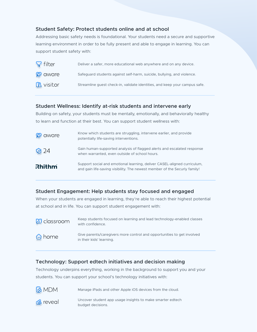#### **Student Safety: Protect students online and at school**

Addressing basic safety needs is foundational. Your students need a secure and supportive learning environment in order to be fully present and able to engage in learning. You can support student safety with:

| $\sqrt{\ }$ filter | Deliver a safer, more educational web anywhere and on any device.          |
|--------------------|----------------------------------------------------------------------------|
| <b>Ø</b> aware     | Safeguard students against self-harm, suicide, bullying, and violence.     |
| <b>B</b> visitor   | Streamline quest check-in, validate identities, and keep your campus safe. |

#### **Student Wellness: Identify at-risk students and intervene early**

Building on safety, your students must be mentally, emotionally, and behaviorally healthy to learn and function at their best. You can support student wellness with:

| <b>Q</b> aware | Know which students are struggling, intervene earlier, and provide<br>potentially life-saving interventions.                                          |
|----------------|-------------------------------------------------------------------------------------------------------------------------------------------------------|
| Q24            | Gain human-supported analysis of flagged alerts and escalated response<br>when warranted, even outside of school hours.                               |
| <b>Rhithm</b>  | Support social and emotional learning, deliver CASEL-aligned curriculum,<br>and gain life-saving visibility. The newest member of the Securly family! |

#### **Student Engagement: Help students stay focused and engaged**

When your students are engaged in learning, they're able to reach their highest potential at school and in life. You can support student engagement with:

Keep students focused on learning and lead technology-enabled classes  $\omega$  classroom with confidence. Give parents/caregivers more control and opportunities to get involved chome in their kids' learning.

#### **Technology: Support edtech initiatives and decision making**

Technology underpins everything, working in the background to support you and your students. You can support your school's technology initiatives with:

**& MDM** Manage iPads and other Apple iOS devices from the cloud.

d<sup>8</sup> reveal

Uncover student app usage insights to make smarter edtech budget decisions.